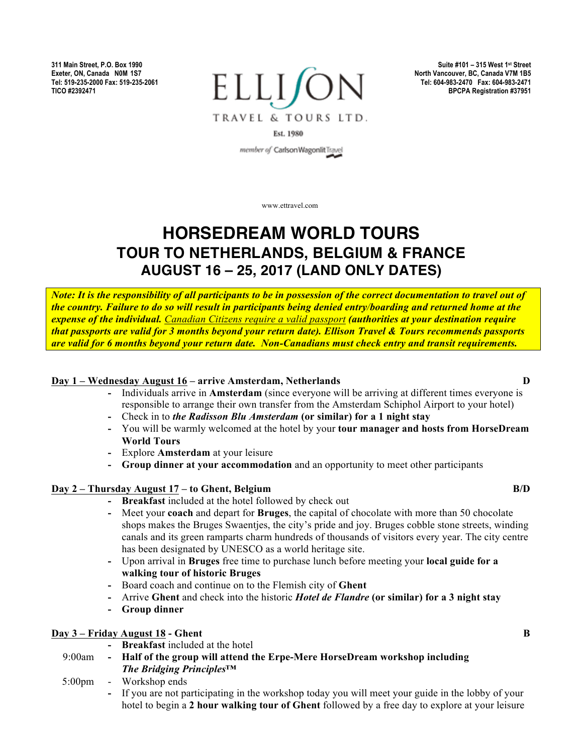**311 Main Street, P.O. Box 1990 Exeter, ON, Canada N0M 1S7 Tel: 519-235-2000 Fax: 519-235-2061 TICO #2392471**



**Suite #101 – 315 West 1st Street North Vancouver, BC, Canada V7M 1B5 Tel: 604-983-2470 Fax: 604-983-2471 BPCPA Registration #37951**

Est. 1980

member of Carlson Wagonlit Travel

www.ettravel.com

# **HORSEDREAM WORLD TOURS TOUR TO NETHERLANDS, BELGIUM & FRANCE AUGUST 16 – 25, 2017 (LAND ONLY DATES)**

*Note: It is the responsibility of all participants to be in possession of the correct documentation to travel out of the country. Failure to do so will result in participants being denied entry/boarding and returned home at the expense of the individual. Canadian Citizens require a valid passport (authorities at your destination require that passports are valid for 3 months beyond your return date). Ellison Travel & Tours recommends passports are valid for 6 months beyond your return date. Non-Canadians must check entry and transit requirements.*

#### **Day 1 – Wednesday August 16 – arrive Amsterdam, Netherlands D**

- **-** Individuals arrive in **Amsterdam** (since everyone will be arriving at different times everyone is responsible to arrange their own transfer from the Amsterdam Schiphol Airport to your hotel)
- **-** Check in to *the Radisson Blu Amsterdam* **(or similar) for a 1 night stay**
- **-** You will be warmly welcomed at the hotel by your **tour manager and hosts from HorseDream World Tours**
- **-** Explore **Amsterdam** at your leisure
- **- Group dinner at your accommodation** and an opportunity to meet other participants

# **Day 2 – Thursday August 17 – to Ghent, Belgium B/D**

- **- Breakfast** included at the hotel followed by check out
- **-** Meet your **coach** and depart for **Bruges**, the capital of chocolate with more than 50 chocolate shops makes the Bruges Swaentjes, the city's pride and joy. Bruges cobble stone streets, winding canals and its green ramparts charm hundreds of thousands of visitors every year. The city centre has been designated by UNESCO as a world heritage site.
- **-** Upon arrival in **Bruges** free time to purchase lunch before meeting your **local guide for a walking tour of historic Bruges**
- **-** Board coach and continue on to the Flemish city of **Ghent**
- **-** Arrive **Ghent** and check into the historic *Hotel de Flandre* **(or similar) for a 3 night stay**
- **- Group dinner**

# **Day 3 – Friday August 18 - Ghent B**

- **- Breakfast** included at the hotel
- 9:00am **- Half of the group will attend the Erpe-Mere HorseDream workshop including**  *The Bridging Principles™*
- 5:00pm Workshop ends
	- **-** If you are not participating in the workshop today you will meet your guide in the lobby of your hotel to begin a **2 hour walking tour of Ghent** followed by a free day to explore at your leisure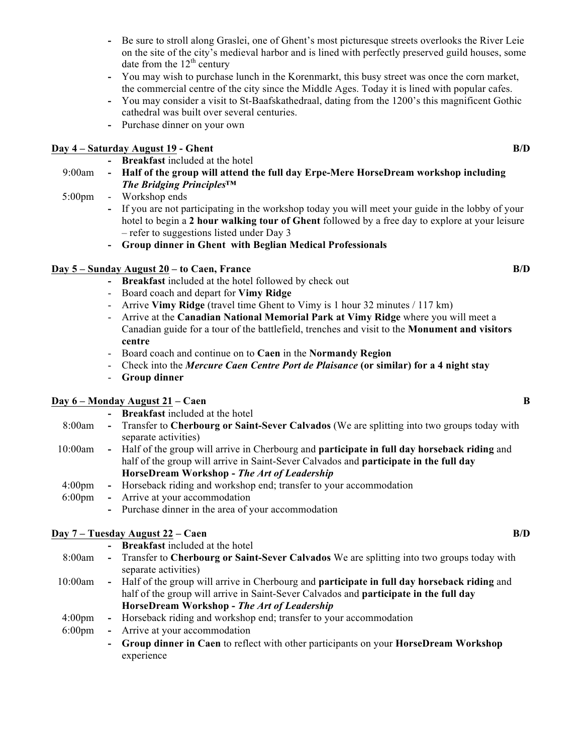- **-** Be sure to stroll along Graslei, one of Ghent's most picturesque streets overlooks the River Leie on the site of the city's medieval harbor and is lined with perfectly preserved guild houses, some date from the  $12<sup>th</sup>$  century
- **-** You may wish to purchase lunch in the Korenmarkt, this busy street was once the corn market, the commercial centre of the city since the Middle Ages. Today it is lined with popular cafes.
- **-** You may consider a visit to St-Baafskathedraal, dating from the 1200's this magnificent Gothic cathedral was built over several centuries.
- **-** Purchase dinner on your own

## **Day 4 – Saturday August 19 - Ghent B/D**

- **- Breakfast** included at the hotel
- 9:00am **- Half of the group will attend the full day Erpe-Mere HorseDream workshop including**  *The Bridging Principles™*
- 5:00pm Workshop ends
	- **-** If you are not participating in the workshop today you will meet your guide in the lobby of your hotel to begin a **2 hour walking tour of Ghent** followed by a free day to explore at your leisure – refer to suggestions listed under Day 3
	- **- Group dinner in Ghent with Beglian Medical Professionals**

# **Day 5 – Sunday August 20 – to Caen, France B/D**

- **- Breakfast** included at the hotel followed by check out
- Board coach and depart for **Vimy Ridge**
- Arrive **Vimy Ridge** (travel time Ghent to Vimy is 1 hour 32 minutes / 117 km)
- Arrive at the **Canadian National Memorial Park at Vimy Ridge** where you will meet a Canadian guide for a tour of the battlefield, trenches and visit to the **Monument and visitors centre**
- Board coach and continue on to **Caen** in the **Normandy Region**
- Check into the *Mercure Caen Centre Port de Plaisance* **(or similar) for a 4 night stay**
- **Group dinner**

#### **Day 6 – Monday August 21 – Caen B**

- **- Breakfast** included at the hotel
- 8:00am **-** Transfer to **Cherbourg or Saint-Sever Calvados** (We are splitting into two groups today with separate activities)
- 10:00am **-** Half of the group will arrive in Cherbourg and **participate in full day horseback riding** and half of the group will arrive in Saint-Sever Calvados and **participate in the full day HorseDream Workshop -** *The Art of Leadership*
- 4:00pm **-** Horseback riding and workshop end; transfer to your accommodation
- 6:00pm **-** Arrive at your accommodation
	- **-** Purchase dinner in the area of your accommodation

# **Day 7 – Tuesday August 22 – Caen B/D**

- **- Breakfast** included at the hotel
- 8:00am **-** Transfer to **Cherbourg or Saint-Sever Calvados** We are splitting into two groups today with separate activities)
- 10:00am **-** Half of the group will arrive in Cherbourg and **participate in full day horseback riding** and half of the group will arrive in Saint-Sever Calvados and **participate in the full day HorseDream Workshop -** *The Art of Leadership*
- 4:00pm **-** Horseback riding and workshop end; transfer to your accommodation
- 6:00pm **-** Arrive at your accommodation
	- **- Group dinner in Caen** to reflect with other participants on your **HorseDream Workshop** experience